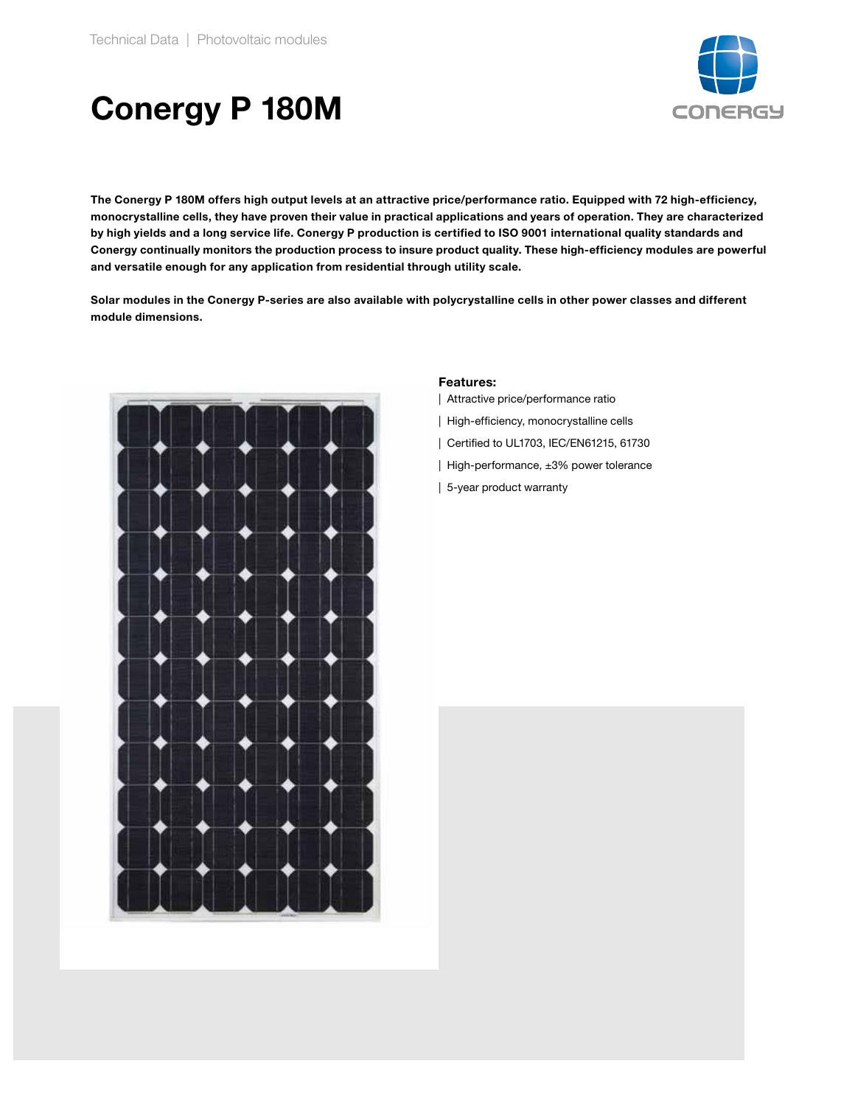

## Conergy P 180M

The Conergy P 180M offers high output levels at an attractive price/performance ratio. Equipped with 72 high-efficiency, monocrystalline cells, they have proven their value in practical applications and years of operation. They are characterized by high yields and a long service life. Conergy P production is certified to ISO 9001 international quality standards and Conergy continually monitors the production process to insure product quality. These high-efficiency modules are powerful and versatile enough for any application from residential through utility scale.

Solar modules in the Conergy P-series are also available with polycrystalline cells in other power classes and different module dimensions.



## Features:

- | Attractive price/performance ratio
- | High-efficiency, monocrystalline cells
- | Certified to UL1703, IEC/EN61215, 61730
- | High-performance, ±3% power tolerance
- | 5-year product warranty